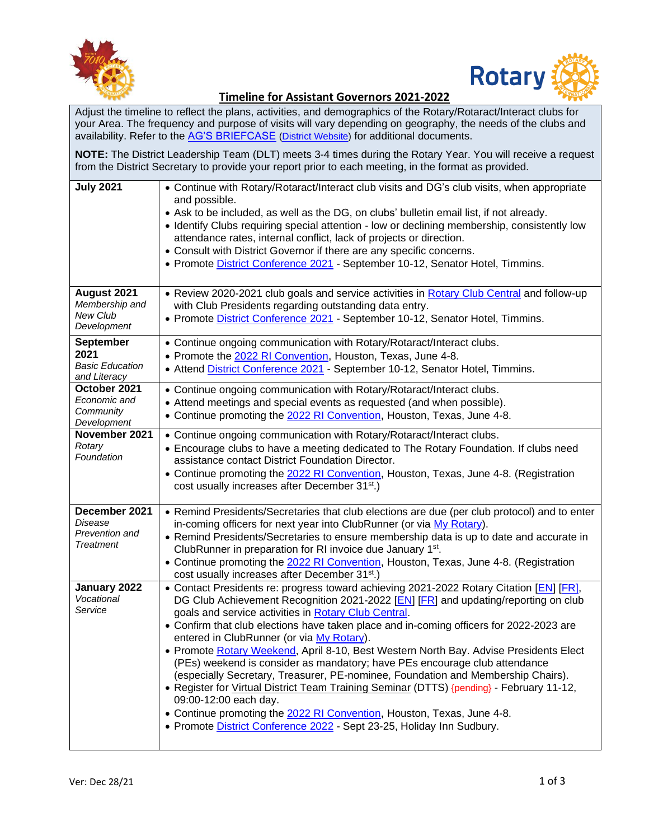



## **Timeline for Assistant Governors 2021-2022**

Adjust the timeline to reflect the plans, activities, and demographics of the Rotary/Rotaract/Interact clubs for your Area. The frequency and purpose of visits will vary depending on geography, the needs of the clubs and availability. Refer to the [AG'S BRIEFCASE](https://portal.clubrunner.ca/50040/sitepage/assistant-governor-s-briefcase) [\(District Website\)](https://portal.clubrunner.ca/50040/) for additional documents.

**NOTE:** The District Leadership Team (DLT) meets 3-4 times during the Rotary Year. You will receive a request from the District Secretary to provide your report prior to each meeting, in the format as provided.

| <b>July 2021</b>                                                   | • Continue with Rotary/Rotaract/Interact club visits and DG's club visits, when appropriate<br>and possible.<br>• Ask to be included, as well as the DG, on clubs' bulletin email list, if not already.<br>• Identify Clubs requiring special attention - low or declining membership, consistently low<br>attendance rates, internal conflict, lack of projects or direction.<br>• Consult with District Governor if there are any specific concerns.<br>• Promote District Conference 2021 - September 10-12, Senator Hotel, Timmins.                                                                                                                                                                                                                                                                                                                                                                          |
|--------------------------------------------------------------------|------------------------------------------------------------------------------------------------------------------------------------------------------------------------------------------------------------------------------------------------------------------------------------------------------------------------------------------------------------------------------------------------------------------------------------------------------------------------------------------------------------------------------------------------------------------------------------------------------------------------------------------------------------------------------------------------------------------------------------------------------------------------------------------------------------------------------------------------------------------------------------------------------------------|
| August 2021<br>Membership and<br>New Club<br>Development           | • Review 2020-2021 club goals and service activities in Rotary Club Central and follow-up<br>with Club Presidents regarding outstanding data entry.<br>• Promote District Conference 2021 - September 10-12, Senator Hotel, Timmins.                                                                                                                                                                                                                                                                                                                                                                                                                                                                                                                                                                                                                                                                             |
| <b>September</b><br>2021<br><b>Basic Education</b><br>and Literacy | • Continue ongoing communication with Rotary/Rotaract/Interact clubs.<br>• Promote the 2022 RI Convention, Houston, Texas, June 4-8.<br>• Attend District Conference 2021 - September 10-12, Senator Hotel, Timmins.                                                                                                                                                                                                                                                                                                                                                                                                                                                                                                                                                                                                                                                                                             |
| October 2021<br>Economic and<br>Community<br>Development           | • Continue ongoing communication with Rotary/Rotaract/Interact clubs.<br>• Attend meetings and special events as requested (and when possible).<br>• Continue promoting the 2022 RI Convention, Houston, Texas, June 4-8.                                                                                                                                                                                                                                                                                                                                                                                                                                                                                                                                                                                                                                                                                        |
| November 2021<br>Rotary<br>Foundation                              | • Continue ongoing communication with Rotary/Rotaract/Interact clubs.<br>• Encourage clubs to have a meeting dedicated to The Rotary Foundation. If clubs need<br>assistance contact District Foundation Director.<br>• Continue promoting the 2022 RI Convention, Houston, Texas, June 4-8. (Registration<br>cost usually increases after December 31 <sup>st</sup> .)                                                                                                                                                                                                                                                                                                                                                                                                                                                                                                                                          |
| December 2021<br>Disease<br>Prevention and<br><b>Treatment</b>     | • Remind Presidents/Secretaries that club elections are due (per club protocol) and to enter<br>in-coming officers for next year into ClubRunner (or via My Rotary).<br>• Remind Presidents/Secretaries to ensure membership data is up to date and accurate in<br>ClubRunner in preparation for RI invoice due January 1 <sup>st</sup> .<br>• Continue promoting the 2022 RI Convention, Houston, Texas, June 4-8. (Registration<br>cost usually increases after December 31 <sup>st</sup> .)                                                                                                                                                                                                                                                                                                                                                                                                                   |
| January 2022<br>Vocational<br>Service                              | • Contact Presidents re: progress toward achieving 2021-2022 Rotary Citation [EN] [FR],<br>DG Club Achievement Recognition 2021-2022 [EN] [FR] and updating/reporting on club<br>goals and service activities in Rotary Club Central.<br>• Confirm that club elections have taken place and in-coming officers for 2022-2023 are<br>entered in ClubRunner (or via My Rotary).<br>· Promote Rotary Weekend, April 8-10, Best Western North Bay. Advise Presidents Elect<br>(PEs) weekend is consider as mandatory; have PEs encourage club attendance<br>(especially Secretary, Treasurer, PE-nominee, Foundation and Membership Chairs).<br>. Register for Virtual District Team Training Seminar (DTTS) {pending} - February 11-12,<br>09:00-12:00 each day.<br>• Continue promoting the 2022 RI Convention, Houston, Texas, June 4-8.<br>• Promote District Conference 2022 - Sept 23-25, Holiday Inn Sudbury. |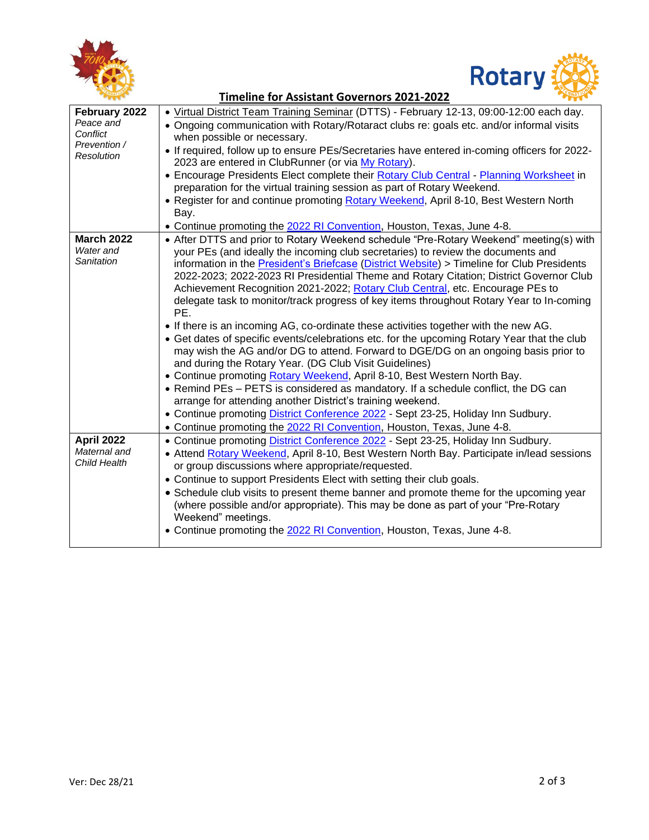



|                                                                      | <b>Timeline for Assistant Governors 2021-2022</b>                                                                                                                                                                                                                                                                                                                                                                                                                                                                                                                                                                                                                                                                                                                                                                                                                                                                                                                                                                                                                                                                              |
|----------------------------------------------------------------------|--------------------------------------------------------------------------------------------------------------------------------------------------------------------------------------------------------------------------------------------------------------------------------------------------------------------------------------------------------------------------------------------------------------------------------------------------------------------------------------------------------------------------------------------------------------------------------------------------------------------------------------------------------------------------------------------------------------------------------------------------------------------------------------------------------------------------------------------------------------------------------------------------------------------------------------------------------------------------------------------------------------------------------------------------------------------------------------------------------------------------------|
| February 2022<br>Peace and<br>Conflict<br>Prevention /<br>Resolution | • Virtual District Team Training Seminar (DTTS) - February 12-13, 09:00-12:00 each day.<br>• Ongoing communication with Rotary/Rotaract clubs re: goals etc. and/or informal visits<br>when possible or necessary.                                                                                                                                                                                                                                                                                                                                                                                                                                                                                                                                                                                                                                                                                                                                                                                                                                                                                                             |
|                                                                      | • If required, follow up to ensure PEs/Secretaries have entered in-coming officers for 2022-<br>2023 are entered in ClubRunner (or via My Rotary).<br>• Encourage Presidents Elect complete their Rotary Club Central - Planning Worksheet in                                                                                                                                                                                                                                                                                                                                                                                                                                                                                                                                                                                                                                                                                                                                                                                                                                                                                  |
|                                                                      | preparation for the virtual training session as part of Rotary Weekend.                                                                                                                                                                                                                                                                                                                                                                                                                                                                                                                                                                                                                                                                                                                                                                                                                                                                                                                                                                                                                                                        |
|                                                                      | . Register for and continue promoting Rotary Weekend, April 8-10, Best Western North<br>Bay.                                                                                                                                                                                                                                                                                                                                                                                                                                                                                                                                                                                                                                                                                                                                                                                                                                                                                                                                                                                                                                   |
|                                                                      | • Continue promoting the 2022 RI Convention, Houston, Texas, June 4-8.                                                                                                                                                                                                                                                                                                                                                                                                                                                                                                                                                                                                                                                                                                                                                                                                                                                                                                                                                                                                                                                         |
| <b>March 2022</b><br>Water and<br>Sanitation                         | • After DTTS and prior to Rotary Weekend schedule "Pre-Rotary Weekend" meeting(s) with<br>your PEs (and ideally the incoming club secretaries) to review the documents and<br>information in the President's Briefcase (District Website) > Timeline for Club Presidents<br>2022-2023; 2022-2023 RI Presidential Theme and Rotary Citation; District Governor Club<br>Achievement Recognition 2021-2022; Rotary Club Central, etc. Encourage PEs to<br>delegate task to monitor/track progress of key items throughout Rotary Year to In-coming<br>PE.<br>• If there is an incoming AG, co-ordinate these activities together with the new AG.<br>• Get dates of specific events/celebrations etc. for the upcoming Rotary Year that the club<br>may wish the AG and/or DG to attend. Forward to DGE/DG on an ongoing basis prior to<br>and during the Rotary Year. (DG Club Visit Guidelines)<br>• Continue promoting Rotary Weekend, April 8-10, Best Western North Bay.<br>• Remind PEs - PETS is considered as mandatory. If a schedule conflict, the DG can<br>arrange for attending another District's training weekend. |
|                                                                      | • Continue promoting District Conference 2022 - Sept 23-25, Holiday Inn Sudbury.                                                                                                                                                                                                                                                                                                                                                                                                                                                                                                                                                                                                                                                                                                                                                                                                                                                                                                                                                                                                                                               |
|                                                                      | • Continue promoting the 2022 RI Convention, Houston, Texas, June 4-8.                                                                                                                                                                                                                                                                                                                                                                                                                                                                                                                                                                                                                                                                                                                                                                                                                                                                                                                                                                                                                                                         |
| April 2022<br>Maternal and<br>Child Health                           | • Continue promoting District Conference 2022 - Sept 23-25, Holiday Inn Sudbury.<br>• Attend Rotary Weekend, April 8-10, Best Western North Bay. Participate in/lead sessions<br>or group discussions where appropriate/requested.                                                                                                                                                                                                                                                                                                                                                                                                                                                                                                                                                                                                                                                                                                                                                                                                                                                                                             |
|                                                                      | • Continue to support Presidents Elect with setting their club goals.                                                                                                                                                                                                                                                                                                                                                                                                                                                                                                                                                                                                                                                                                                                                                                                                                                                                                                                                                                                                                                                          |
|                                                                      | • Schedule club visits to present theme banner and promote theme for the upcoming year<br>(where possible and/or appropriate). This may be done as part of your "Pre-Rotary<br>Weekend" meetings.                                                                                                                                                                                                                                                                                                                                                                                                                                                                                                                                                                                                                                                                                                                                                                                                                                                                                                                              |
|                                                                      | • Continue promoting the 2022 RI Convention, Houston, Texas, June 4-8.                                                                                                                                                                                                                                                                                                                                                                                                                                                                                                                                                                                                                                                                                                                                                                                                                                                                                                                                                                                                                                                         |